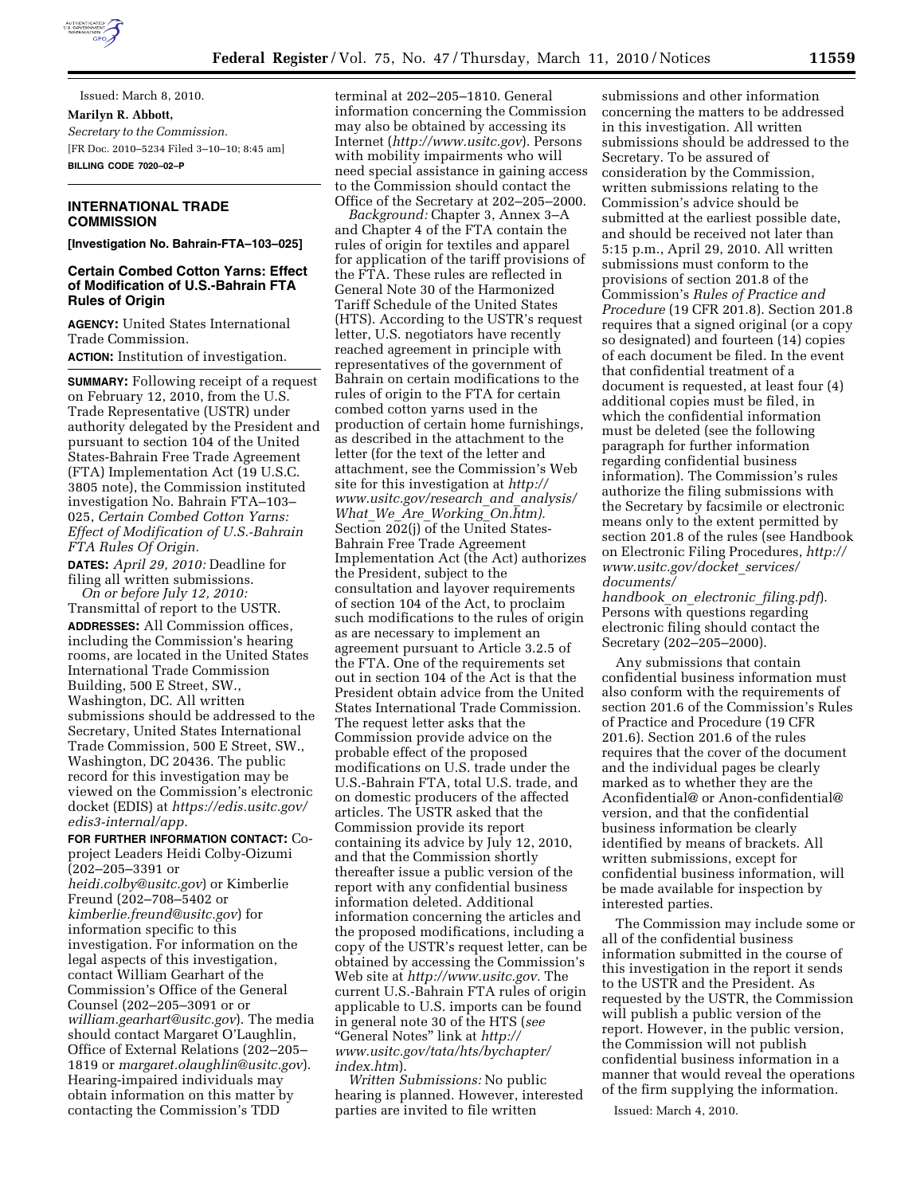

Issued: March 8, 2010. **Marilyn R. Abbott,**  *Secretary to the Commission.*  [FR Doc. 2010–5234 Filed 3–10–10; 8:45 am] **BILLING CODE 7020–02–P** 

# **INTERNATIONAL TRADE COMMISSION**

**[Investigation No. Bahrain-FTA–103–025]** 

# **Certain Combed Cotton Yarns: Effect of Modification of U.S.-Bahrain FTA Rules of Origin**

**AGENCY:** United States International Trade Commission. **ACTION:** Institution of investigation.

**SUMMARY:** Following receipt of a request on February 12, 2010, from the U.S. Trade Representative (USTR) under authority delegated by the President and pursuant to section 104 of the United States-Bahrain Free Trade Agreement (FTA) Implementation Act (19 U.S.C. 3805 note), the Commission instituted investigation No. Bahrain FTA–103– 025, *Certain Combed Cotton Yarns: Effect of Modification of U.S.-Bahrain FTA Rules Of Origin.* 

**DATES:** *April 29, 2010:* Deadline for filing all written submissions.

*On or before July 12, 2010:*  Transmittal of report to the USTR. **ADDRESSES:** All Commission offices, including the Commission's hearing rooms, are located in the United States International Trade Commission Building, 500 E Street, SW., Washington, DC. All written submissions should be addressed to the Secretary, United States International Trade Commission, 500 E Street, SW., Washington, DC 20436. The public record for this investigation may be viewed on the Commission's electronic docket (EDIS) at *https://edis.usitc.gov/ edis3-internal/app.* 

#### **FOR FURTHER INFORMATION CONTACT:** Co-

project Leaders Heidi Colby-Oizumi  $(202 - 205 - 3391)$  or

*heidi.colby@usitc.gov*) or Kimberlie Freund (202–708–5402 or *kimberlie.freund@usitc.gov*) for information specific to this investigation. For information on the legal aspects of this investigation, contact William Gearhart of the Commission's Office of the General Counsel (202–205–3091 or or *william.gearhart@usitc.gov*). The media should contact Margaret O'Laughlin, Office of External Relations (202–205– 1819 or *margaret.olaughlin@usitc.gov*). Hearing-impaired individuals may obtain information on this matter by contacting the Commission's TDD

terminal at 202–205–1810. General information concerning the Commission may also be obtained by accessing its Internet (*http://www.usitc.gov*). Persons with mobility impairments who will need special assistance in gaining access to the Commission should contact the Office of the Secretary at 202–205–2000.

*Background:* Chapter 3, Annex 3–A and Chapter 4 of the FTA contain the rules of origin for textiles and apparel for application of the tariff provisions of the FTA. These rules are reflected in General Note 30 of the Harmonized Tariff Schedule of the United States (HTS). According to the USTR's request letter, U.S. negotiators have recently reached agreement in principle with representatives of the government of Bahrain on certain modifications to the rules of origin to the FTA for certain combed cotton yarns used in the production of certain home furnishings, as described in the attachment to the letter (for the text of the letter and attachment, see the Commission's Web site for this investigation at *http:// www.usitc.gov/research*\_*and*\_*analysis/ What*\_*We*\_*Are*\_*Working*\_*On.htm).*  Section 202(j) of the United States-Bahrain Free Trade Agreement Implementation Act (the Act) authorizes the President, subject to the consultation and layover requirements of section 104 of the Act, to proclaim such modifications to the rules of origin as are necessary to implement an agreement pursuant to Article 3.2.5 of the FTA. One of the requirements set out in section 104 of the Act is that the President obtain advice from the United States International Trade Commission. The request letter asks that the Commission provide advice on the probable effect of the proposed modifications on U.S. trade under the U.S.-Bahrain FTA, total U.S. trade, and on domestic producers of the affected articles. The USTR asked that the Commission provide its report containing its advice by July 12, 2010, and that the Commission shortly thereafter issue a public version of the report with any confidential business information deleted. Additional information concerning the articles and the proposed modifications, including a copy of the USTR's request letter, can be obtained by accessing the Commission's Web site at *http://www.usitc.gov.* The current U.S.-Bahrain FTA rules of origin applicable to U.S. imports can be found in general note 30 of the HTS (*see*  ''General Notes'' link at *http:// www.usitc.gov/tata/hts/bychapter/ index.htm*).

*Written Submissions:* No public hearing is planned. However, interested parties are invited to file written

submissions and other information concerning the matters to be addressed in this investigation. All written submissions should be addressed to the Secretary. To be assured of consideration by the Commission, written submissions relating to the Commission's advice should be submitted at the earliest possible date, and should be received not later than 5:15 p.m., April 29, 2010. All written submissions must conform to the provisions of section 201.8 of the Commission's *Rules of Practice and Procedure* (19 CFR 201.8). Section 201.8 requires that a signed original (or a copy so designated) and fourteen (14) copies of each document be filed. In the event that confidential treatment of a document is requested, at least four (4) additional copies must be filed, in which the confidential information must be deleted (see the following paragraph for further information regarding confidential business information). The Commission's rules authorize the filing submissions with the Secretary by facsimile or electronic means only to the extent permitted by section 201.8 of the rules (see Handbook on Electronic Filing Procedures, *http:// www.usitc.gov/docket*\_*services/ documents/* 

*handbook*\_*on*\_*electronic*\_*filing.pdf*). Persons with questions regarding electronic filing should contact the Secretary (202–205–2000).

Any submissions that contain confidential business information must also conform with the requirements of section 201.6 of the Commission's Rules of Practice and Procedure (19 CFR 201.6). Section 201.6 of the rules requires that the cover of the document and the individual pages be clearly marked as to whether they are the Aconfidential@ or Anon-confidential@ version, and that the confidential business information be clearly identified by means of brackets. All written submissions, except for confidential business information, will be made available for inspection by interested parties.

The Commission may include some or all of the confidential business information submitted in the course of this investigation in the report it sends to the USTR and the President. As requested by the USTR, the Commission will publish a public version of the report. However, in the public version, the Commission will not publish confidential business information in a manner that would reveal the operations of the firm supplying the information.

Issued: March 4, 2010.